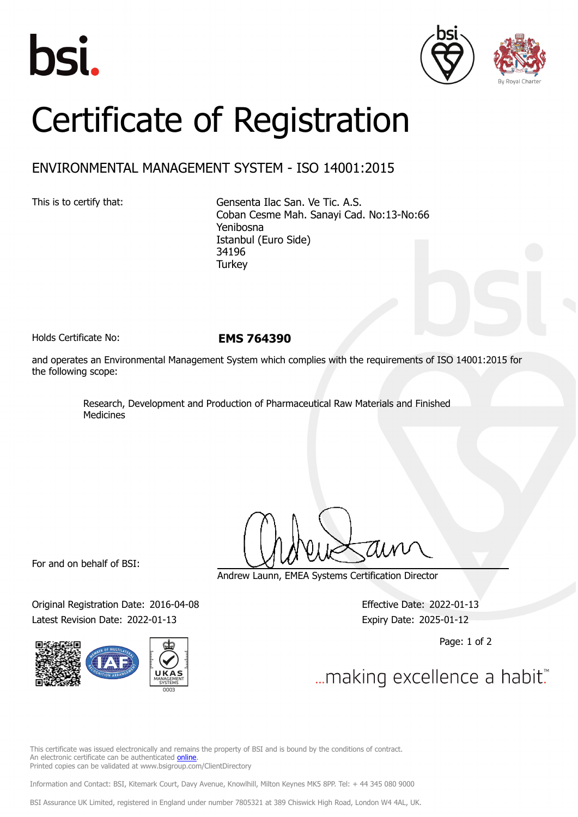





## Certificate of Registration

## ENVIRONMENTAL MANAGEMENT SYSTEM - ISO 14001:2015

This is to certify that: Gensenta Ilac San. Ve Tic. A.S. Coban Cesme Mah. Sanayi Cad. No:13-No:66 Yenibosna Istanbul (Euro Side) 34196 **Turkey** 

Holds Certificate No: **EMS 764390**

and operates an Environmental Management System which complies with the requirements of ISO 14001:2015 for the following scope:

> Research, Development and Production of Pharmaceutical Raw Materials and Finished Medicines

For and on behalf of BSI:

Original Registration Date: 2016-04-08 Effective Date: 2022-01-13 Latest Revision Date: 2022-01-13 Expiry Date: 2025-01-12



Andrew Launn, EMEA Systems Certification Director

Page: 1 of 2

... making excellence a habit."

This certificate was issued electronically and remains the property of BSI and is bound by the conditions of contract. An electronic certificate can be authenticated [online](https://pgplus.bsigroup.com/CertificateValidation/CertificateValidator.aspx?CertificateNumber=EMS+764390&ReIssueDate=13%2f01%2f2022&Template=cemea_en) Printed copies can be validated at www.bsigroup.com/ClientDirectory

Information and Contact: BSI, Kitemark Court, Davy Avenue, Knowlhill, Milton Keynes MK5 8PP. Tel: + 44 345 080 9000

BSI Assurance UK Limited, registered in England under number 7805321 at 389 Chiswick High Road, London W4 4AL, UK.